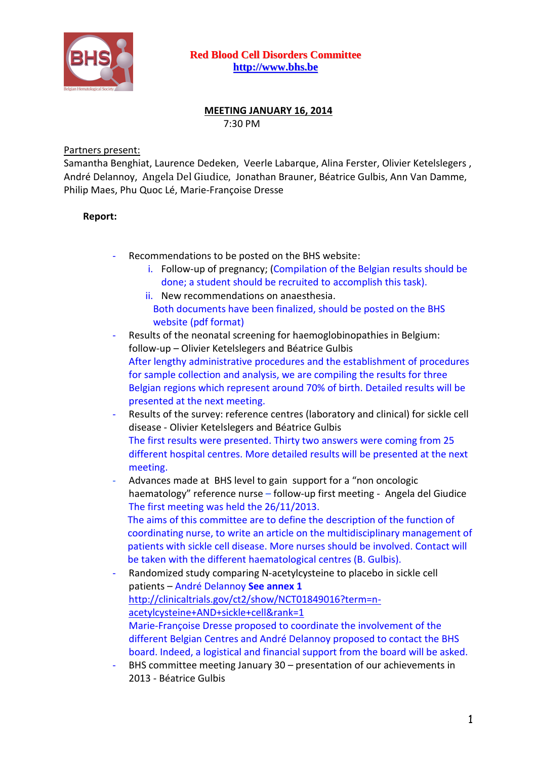

## **MEETING JANUARY 16, 2014** 7:30 PM

## Partners present:

Samantha Benghiat, Laurence Dedeken, Veerle Labarque, Alina Ferster, Olivier Ketelslegers , André Delannoy, Angela Del Giudice, Jonathan Brauner, Béatrice Gulbis, Ann Van Damme, Philip Maes, Phu Quoc Lé, Marie-Françoise Dresse

## **Report:**

- Recommendations to be posted on the BHS website:
	- i. Follow-up of pregnancy; (Compilation of the Belgian results should be done; a student should be recruited to accomplish this task).
	- ii. New recommendations on anaesthesia. Both documents have been finalized, should be posted on the BHS website (pdf format)
- Results of the neonatal screening for haemoglobinopathies in Belgium: follow-up – Olivier Ketelslegers and Béatrice Gulbis After lengthy administrative procedures and the establishment of procedures for sample collection and analysis, we are compiling the results for three Belgian regions which represent around 70% of birth. Detailed results will be presented at the next meeting.
- Results of the survey: reference centres (laboratory and clinical) for sickle cell disease - Olivier Ketelslegers and Béatrice Gulbis The first results were presented. Thirty two answers were coming from 25 different hospital centres. More detailed results will be presented at the next meeting.
- Advances made at BHS level to gain support for a "non oncologic haematology" reference nurse – follow-up first meeting - Angela del Giudice The first meeting was held the 26/11/2013. The aims of this committee are to define the description of the function of coordinating nurse, to write an article on the multidisciplinary management of patients with sickle cell disease. More nurses should be involved. Contact will be taken with the different haematological centres (B. Gulbis).
- Randomized study comparing N-acetylcysteine to placebo in sickle cell patients – André Delannoy **See annex 1** [http://clinicaltrials.gov/ct2/show/NCT01849016?term=n](https://webmail.erasme.ulb.ac.be/owa/redir.aspx?C=014cca348b25482b8c4275b275c4473b&URL=http%3a%2f%2fclinicaltrials.gov%2fct2%2fshow%2fNCT01849016%3fterm%3dn-acetylcysteine%2bAND%2bsickle%2bcell%26rank%3d1)[acetylcysteine+AND+sickle+cell&rank=1](https://webmail.erasme.ulb.ac.be/owa/redir.aspx?C=014cca348b25482b8c4275b275c4473b&URL=http%3a%2f%2fclinicaltrials.gov%2fct2%2fshow%2fNCT01849016%3fterm%3dn-acetylcysteine%2bAND%2bsickle%2bcell%26rank%3d1) Marie-Françoise Dresse proposed to coordinate the involvement of the different Belgian Centres and André Delannoy proposed to contact the BHS board. Indeed, a logistical and financial support from the board will be asked.
- BHS committee meeting January 30 presentation of our achievements in 2013 - Béatrice Gulbis